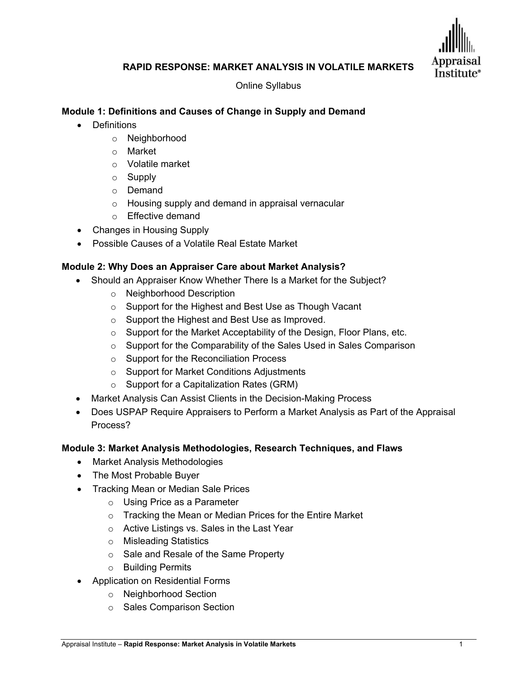

## **RAPID RESPONSE: MARKET ANALYSIS IN VOLATILE MARKETS**

Online Syllabus

# **Module 1: Definitions and Causes of Change in Supply and Demand**

- Definitions
	- o Neighborhood
	- o Market
	- o Volatile market
	- o Supply
	- o Demand
	- o Housing supply and demand in appraisal vernacular
	- o Effective demand
- Changes in Housing Supply
- Possible Causes of a Volatile Real Estate Market

## **Module 2: Why Does an Appraiser Care about Market Analysis?**

- Should an Appraiser Know Whether There Is a Market for the Subject?
	- o Neighborhood Description
	- o Support for the Highest and Best Use as Though Vacant
	- o Support the Highest and Best Use as Improved.
	- o Support for the Market Acceptability of the Design, Floor Plans, etc.
	- o Support for the Comparability of the Sales Used in Sales Comparison
	- o Support for the Reconciliation Process
	- o Support for Market Conditions Adjustments
	- o Support for a Capitalization Rates (GRM)
- Market Analysis Can Assist Clients in the Decision-Making Process
- Does USPAP Require Appraisers to Perform a Market Analysis as Part of the Appraisal Process?

## **Module 3: Market Analysis Methodologies, Research Techniques, and Flaws**

- Market Analysis Methodologies
- The Most Probable Buyer
- Tracking Mean or Median Sale Prices
	- o Using Price as a Parameter
	- o Tracking the Mean or Median Prices for the Entire Market
	- o Active Listings vs. Sales in the Last Year
	- o Misleading Statistics
	- o Sale and Resale of the Same Property
	- o Building Permits
- Application on Residential Forms
	- o Neighborhood Section
	- o Sales Comparison Section